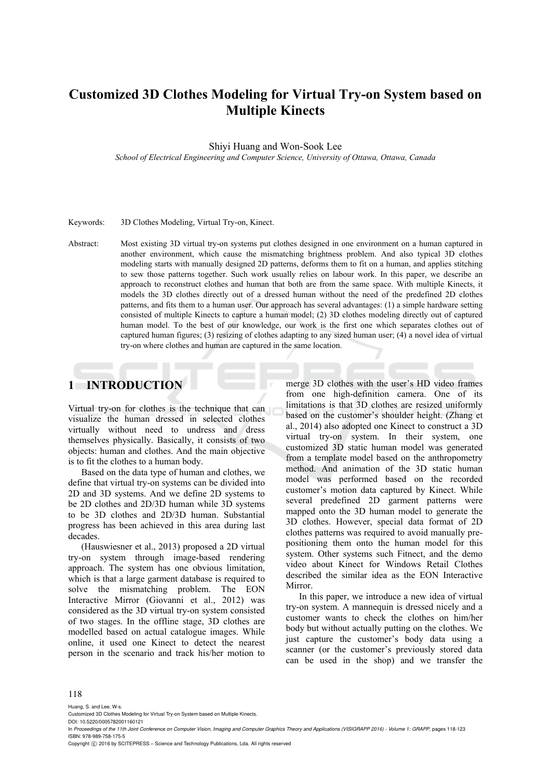# **Customized 3D Clothes Modeling for Virtual Try-on System based on Multiple Kinects**

Shiyi Huang and Won-Sook Lee

*School of Electrical Engineering and Computer Science, University of Ottawa, Ottawa, Canada* 

Keywords: 3D Clothes Modeling, Virtual Try-on, Kinect.

Abstract: Most existing 3D virtual try-on systems put clothes designed in one environment on a human captured in another environment, which cause the mismatching brightness problem. And also typical 3D clothes modeling starts with manually designed 2D patterns, deforms them to fit on a human, and applies stitching to sew those patterns together. Such work usually relies on labour work. In this paper, we describe an approach to reconstruct clothes and human that both are from the same space. With multiple Kinects, it models the 3D clothes directly out of a dressed human without the need of the predefined 2D clothes patterns, and fits them to a human user. Our approach has several advantages: (1) a simple hardware setting consisted of multiple Kinects to capture a human model; (2) 3D clothes modeling directly out of captured human model. To the best of our knowledge, our work is the first one which separates clothes out of captured human figures; (3) resizing of clothes adapting to any sized human user; (4) a novel idea of virtual try-on where clothes and human are captured in the same location.

# **1 INTRODUCTION**

Virtual try-on for clothes is the technique that can visualize the human dressed in selected clothes virtually without need to undress and dress themselves physically. Basically, it consists of two objects: human and clothes. And the main objective is to fit the clothes to a human body.

Based on the data type of human and clothes, we define that virtual try-on systems can be divided into 2D and 3D systems. And we define 2D systems to be 2D clothes and 2D/3D human while 3D systems to be 3D clothes and 2D/3D human. Substantial progress has been achieved in this area during last decades.

(Hauswiesner et al., 2013) proposed a 2D virtual try-on system through image-based rendering approach. The system has one obvious limitation, which is that a large garment database is required to solve the mismatching problem. The EON Interactive Mirror (Giovanni et al., 2012) was considered as the 3D virtual try-on system consisted of two stages. In the offline stage, 3D clothes are modelled based on actual catalogue images. While online, it used one Kinect to detect the nearest person in the scenario and track his/her motion to merge 3D clothes with the user's HD video frames from one high-definition camera. One of its limitations is that 3D clothes are resized uniformly based on the customer's shoulder height. (Zhang et al., 2014) also adopted one Kinect to construct a 3D virtual try-on system. In their system, one customized 3D static human model was generated from a template model based on the anthropometry method. And animation of the 3D static human model was performed based on the recorded customer's motion data captured by Kinect. While several predefined 2D garment patterns were mapped onto the 3D human model to generate the 3D clothes. However, special data format of 2D clothes patterns was required to avoid manually prepositioning them onto the human model for this system. Other systems such Fitnect, and the demo video about Kinect for Windows Retail Clothes described the similar idea as the EON Interactive **Mirror** 

In this paper, we introduce a new idea of virtual try-on system. A mannequin is dressed nicely and a customer wants to check the clothes on him/her body but without actually putting on the clothes. We just capture the customer's body data using a scanner (or the customer's previously stored data can be used in the shop) and we transfer the

#### 118

Huang, S. and Lee, W-s.

Customized 3D Clothes Modeling for Virtual Try-on System based on Multiple Kinects.

DOI: 10.5220/0005782001160121

In *Proceedings of the 11th Joint Conference on Computer Vision, Imaging and Computer Graphics Theory and Applications (VISIGRAPP 2016) - Volume 1: GRAPP*, pages 118-123 ISBN: 978-989-758-175-5

Copyright (C) 2016 by SCITEPRESS - Science and Technology Publications, Lda. All rights reserved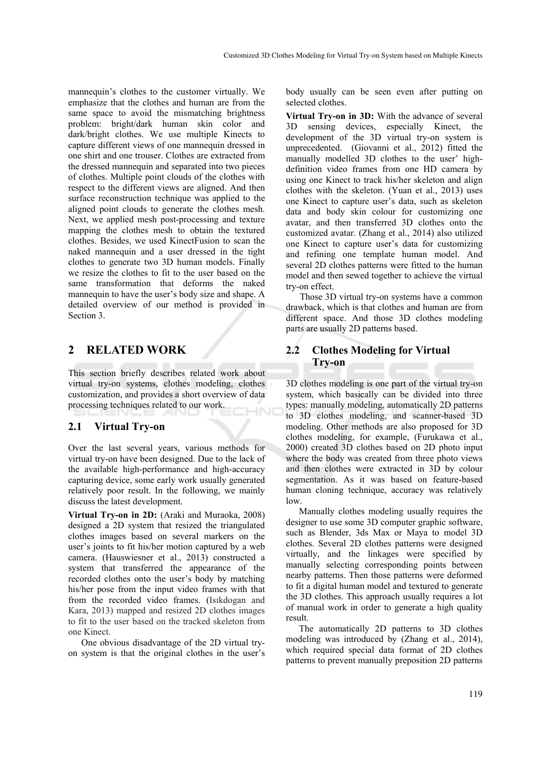mannequin's clothes to the customer virtually. We emphasize that the clothes and human are from the same space to avoid the mismatching brightness problem: bright/dark human skin color and dark/bright clothes. We use multiple Kinects to capture different views of one mannequin dressed in one shirt and one trouser. Clothes are extracted from the dressed mannequin and separated into two pieces of clothes. Multiple point clouds of the clothes with respect to the different views are aligned. And then surface reconstruction technique was applied to the aligned point clouds to generate the clothes mesh. Next, we applied mesh post-processing and texture mapping the clothes mesh to obtain the textured clothes. Besides, we used KinectFusion to scan the naked mannequin and a user dressed in the tight clothes to generate two 3D human models. Finally we resize the clothes to fit to the user based on the same transformation that deforms the naked mannequin to have the user's body size and shape. A detailed overview of our method is provided in Section 3.

### **2 RELATED WORK**

This section briefly describes related work about virtual try-on systems, clothes modeling, clothes customization, and provides a short overview of data processing techniques related to our work. 4Ń

#### **2.1 Virtual Try-on**

Over the last several years, various methods for virtual try-on have been designed. Due to the lack of the available high-performance and high-accuracy capturing device, some early work usually generated relatively poor result. In the following, we mainly discuss the latest development.

**Virtual Try-on in 2D:** (Araki and Muraoka, 2008) designed a 2D system that resized the triangulated clothes images based on several markers on the user's joints to fit his/her motion captured by a web camera. (Hauswiesner et al., 2013) constructed a system that transferred the appearance of the recorded clothes onto the user's body by matching his/her pose from the input video frames with that from the recorded video frames. (Isıkdogan and Kara, 2013) mapped and resized 2D clothes images to fit to the user based on the tracked skeleton from one Kinect.

One obvious disadvantage of the 2D virtual tryon system is that the original clothes in the user's

body usually can be seen even after putting on selected clothes.

**Virtual Try-on in 3D:** With the advance of several 3D sensing devices, especially Kinect, the development of the 3D virtual try-on system is unprecedented. (Giovanni et al., 2012) fitted the manually modelled 3D clothes to the user' highdefinition video frames from one HD camera by using one Kinect to track his/her skeleton and align clothes with the skeleton. (Yuan et al., 2013) uses one Kinect to capture user's data, such as skeleton data and body skin colour for customizing one avatar, and then transferred 3D clothes onto the customized avatar. (Zhang et al., 2014) also utilized one Kinect to capture user's data for customizing and refining one template human model. And several 2D clothes patterns were fitted to the human model and then sewed together to achieve the virtual try-on effect.

Those 3D virtual try-on systems have a common drawback, which is that clothes and human are from different space. And those 3D clothes modeling parts are usually 2D patterns based.

### **2.2 Clothes Modeling for Virtual Try-on**

3D clothes modeling is one part of the virtual try-on system, which basically can be divided into three types: manually modeling, automatically 2D patterns to 3D clothes modeling, and scanner-based 3D modeling. Other methods are also proposed for 3D clothes modeling, for example, (Furukawa et al., 2000) created 3D clothes based on 2D photo input where the body was created from three photo views and then clothes were extracted in 3D by colour segmentation. As it was based on feature-based human cloning technique, accuracy was relatively low.

Manually clothes modeling usually requires the designer to use some 3D computer graphic software, such as Blender, 3ds Max or Maya to model 3D clothes. Several 2D clothes patterns were designed virtually, and the linkages were specified by manually selecting corresponding points between nearby patterns. Then those patterns were deformed to fit a digital human model and textured to generate the 3D clothes. This approach usually requires a lot of manual work in order to generate a high quality result.

The automatically 2D patterns to 3D clothes modeling was introduced by (Zhang et al., 2014), which required special data format of 2D clothes patterns to prevent manually preposition 2D patterns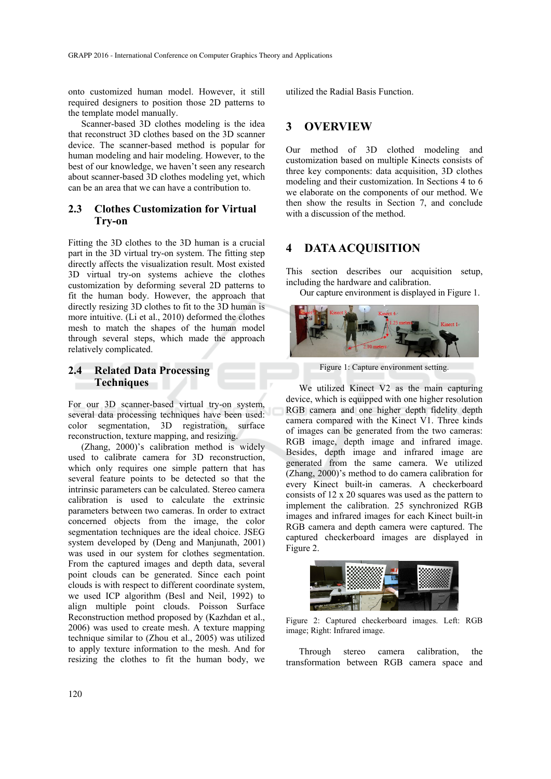onto customized human model. However, it still required designers to position those 2D patterns to the template model manually.

Scanner-based 3D clothes modeling is the idea that reconstruct 3D clothes based on the 3D scanner device. The scanner-based method is popular for human modeling and hair modeling. However, to the best of our knowledge, we haven't seen any research about scanner-based 3D clothes modeling yet, which can be an area that we can have a contribution to.

#### **2.3 Clothes Customization for Virtual Try-on**

Fitting the 3D clothes to the 3D human is a crucial part in the 3D virtual try-on system. The fitting step directly affects the visualization result. Most existed 3D virtual try-on systems achieve the clothes customization by deforming several 2D patterns to fit the human body. However, the approach that directly resizing 3D clothes to fit to the 3D human is more intuitive. (Li et al., 2010) deformed the clothes mesh to match the shapes of the human model through several steps, which made the approach relatively complicated.

## **2.4 Related Data Processing Techniques**

For our 3D scanner-based virtual try-on system, several data processing techniques have been used: color segmentation, 3D registration, surface reconstruction, texture mapping, and resizing.

(Zhang, 2000)'s calibration method is widely used to calibrate camera for 3D reconstruction, which only requires one simple pattern that has several feature points to be detected so that the intrinsic parameters can be calculated. Stereo camera calibration is used to calculate the extrinsic parameters between two cameras. In order to extract concerned objects from the image, the color segmentation techniques are the ideal choice. JSEG system developed by (Deng and Manjunath, 2001) was used in our system for clothes segmentation. From the captured images and depth data, several point clouds can be generated. Since each point clouds is with respect to different coordinate system, we used ICP algorithm (Besl and Neil, 1992) to align multiple point clouds. Poisson Surface Reconstruction method proposed by (Kazhdan et al., 2006) was used to create mesh. A texture mapping technique similar to (Zhou et al., 2005) was utilized to apply texture information to the mesh. And for resizing the clothes to fit the human body, we utilized the Radial Basis Function.

### **3 OVERVIEW**

Our method of 3D clothed modeling and customization based on multiple Kinects consists of three key components: data acquisition, 3D clothes modeling and their customization. In Sections 4 to 6 we elaborate on the components of our method. We then show the results in Section 7, and conclude with a discussion of the method.

### **4 DATA ACQUISITION**

This section describes our acquisition setup, including the hardware and calibration.

Our capture environment is displayed in Figure 1.



Figure 1: Capture environment setting.

We utilized Kinect V2 as the main capturing device, which is equipped with one higher resolution RGB camera and one higher depth fidelity depth camera compared with the Kinect V1. Three kinds of images can be generated from the two cameras: RGB image, depth image and infrared image. Besides, depth image and infrared image are generated from the same camera. We utilized (Zhang, 2000)'s method to do camera calibration for every Kinect built-in cameras. A checkerboard consists of 12 x 20 squares was used as the pattern to implement the calibration. 25 synchronized RGB images and infrared images for each Kinect built-in RGB camera and depth camera were captured. The captured checkerboard images are displayed in Figure 2.



Figure 2: Captured checkerboard images. Left: RGB image; Right: Infrared image.

Through stereo camera calibration, the transformation between RGB camera space and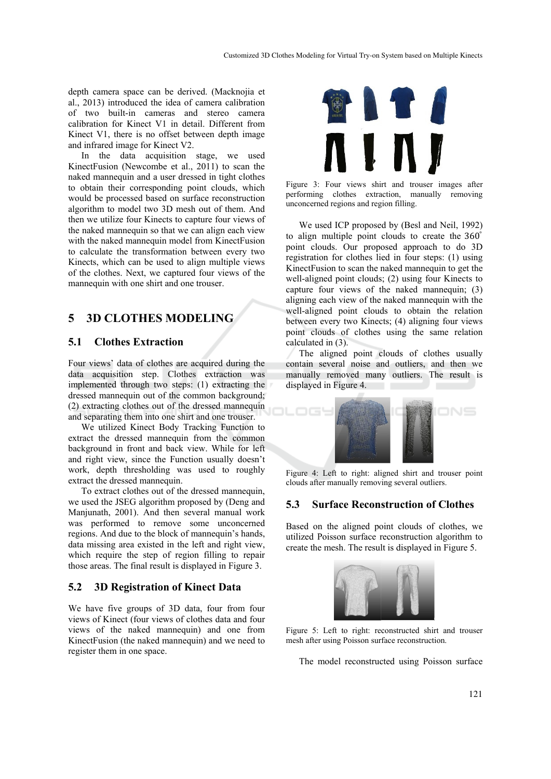depth camera space can be derived. (Macknojia et al., 2013) introduced the idea of camera calibration of two built-in cameras and stereo camera calibration for Kinect V1 in detail. Different from Kinect V1, there is no offset between depth image and infrared image for Kinect V2.

In the data acquisition stage, we used KinectFusion (Newcombe et al., 2011) to scan the naked mannequin and a user dressed in tight clothes to obtain their corresponding point clouds, which would be processed based on surface reconstruction algorithm to model two 3D mesh out of them. And then we utilize four Kinects to capture four views of the naked mannequin so that we can align each view with the naked mannequin model from KinectFusion to calculate the transformation between every two Kinects, which can be used to align multiple views of the clothes. Next, we captured four views of the mannequin with one shirt and one trouser.

# **5 3D CLOTHES MODELING**

### **5.1 Clothes Extraction**

Four views' data of clothes are acquired during the data acquisition step. Clothes extraction was implemented through two steps: (1) extracting the dressed mannequin out of the common background; (2) extracting clothes out of the dressed mannequin and separating them into one shirt and one trouser.

We utilized Kinect Body Tracking Function to extract the dressed mannequin from the common background in front and back view. While for left and right view, since the Function usually doesn't work, depth thresholding was used to roughly extract the dressed mannequin.

To extract clothes out of the dressed mannequin, we used the JSEG algorithm proposed by (Deng and Manjunath, 2001). And then several manual work was performed to remove some unconcerned regions. And due to the block of mannequin's hands, data missing area existed in the left and right view, which require the step of region filling to repair those areas. The final result is displayed in Figure 3.

#### **5.2 3D Registration of Kinect Data**

We have five groups of 3D data, four from four views of Kinect (four views of clothes data and four views of the naked mannequin) and one from KinectFusion (the naked mannequin) and we need to register them in one space.



Figure 3: Four views shirt and trouser images after performing clothes extraction, manually removing unconcerned regions and region filling.

We used ICP proposed by (Besl and Neil, 1992) to align multiple point clouds to create the 360° point clouds. Our proposed approach to do 3D registration for clothes lied in four steps: (1) using KinectFusion to scan the naked mannequin to get the well-aligned point clouds; (2) using four Kinects to capture four views of the naked mannequin; (3) aligning each view of the naked mannequin with the well-aligned point clouds to obtain the relation between every two Kinects; (4) aligning four views point clouds of clothes using the same relation calculated in (3).

The aligned point clouds of clothes usually contain several noise and outliers, and then we manually removed many outliers. The result is displayed in Figure 4.



Figure 4: Left to right: aligned shirt and trouser point clouds after manually removing several outliers.

#### **5.3 Surface Reconstruction of Clothes**

Based on the aligned point clouds of clothes, we utilized Poisson surface reconstruction algorithm to create the mesh. The result is displayed in Figure 5.



Figure 5: Left to right: reconstructed shirt and trouser mesh after using Poisson surface reconstruction.

The model reconstructed using Poisson surface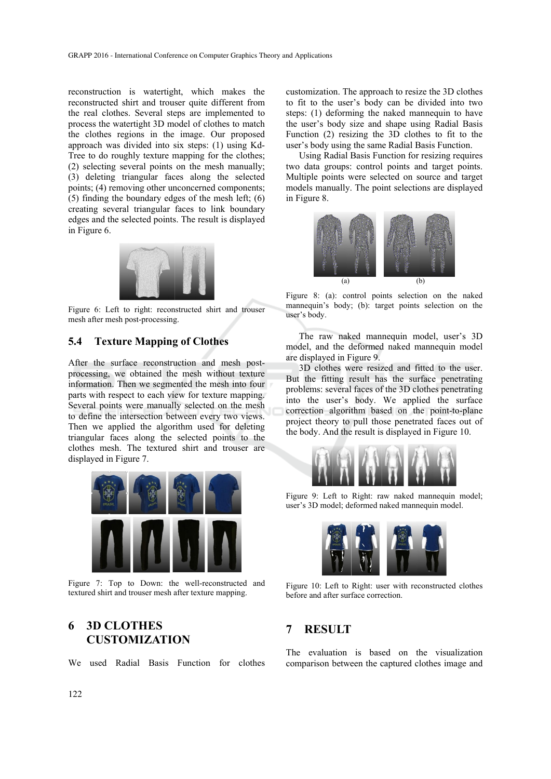reconstruction is watertight, which makes the reconstructed shirt and trouser quite different from the real clothes. Several steps are implemented to process the watertight 3D model of clothes to match the clothes regions in the image. Our proposed approach was divided into six steps: (1) using Kd-Tree to do roughly texture mapping for the clothes; (2) selecting several points on the mesh manually; (3) deleting triangular faces along the selected points; (4) removing other unconcerned components; (5) finding the boundary edges of the mesh left; (6) creating several triangular faces to link boundary edges and the selected points. The result is displayed in Figure 6.



Figure 6: Left to right: reconstructed shirt and trouser mesh after mesh post-processing.

### **5.4 Texture Mapping of Clothes**

After the surface reconstruction and mesh postprocessing, we obtained the mesh without texture information. Then we segmented the mesh into four parts with respect to each view for texture mapping. Several points were manually selected on the mesh to define the intersection between every two views. Then we applied the algorithm used for deleting triangular faces along the selected points to the clothes mesh. The textured shirt and trouser are displayed in Figure 7.



Figure 7: Top to Down: the well-reconstructed and textured shirt and trouser mesh after texture mapping.

# **6 3D CLOTHES CUSTOMIZATION**

We used Radial Basis Function for clothes

customization. The approach to resize the 3D clothes to fit to the user's body can be divided into two steps: (1) deforming the naked mannequin to have the user's body size and shape using Radial Basis Function (2) resizing the 3D clothes to fit to the user's body using the same Radial Basis Function.

Using Radial Basis Function for resizing requires two data groups: control points and target points. Multiple points were selected on source and target models manually. The point selections are displayed in Figure 8.



Figure 8: (a): control points selection on the naked mannequin's body; (b): target points selection on the user's body.

The raw naked mannequin model, user's 3D model, and the deformed naked mannequin model are displayed in Figure 9.

3D clothes were resized and fitted to the user. But the fitting result has the surface penetrating problems: several faces of the 3D clothes penetrating into the user's body. We applied the surface correction algorithm based on the point-to-plane project theory to pull those penetrated faces out of the body. And the result is displayed in Figure 10.



Figure 9: Left to Right: raw naked mannequin model; user's 3D model; deformed naked mannequin model.



Figure 10: Left to Right: user with reconstructed clothes before and after surface correction.

# **7 RESULT**

The evaluation is based on the visualization comparison between the captured clothes image and